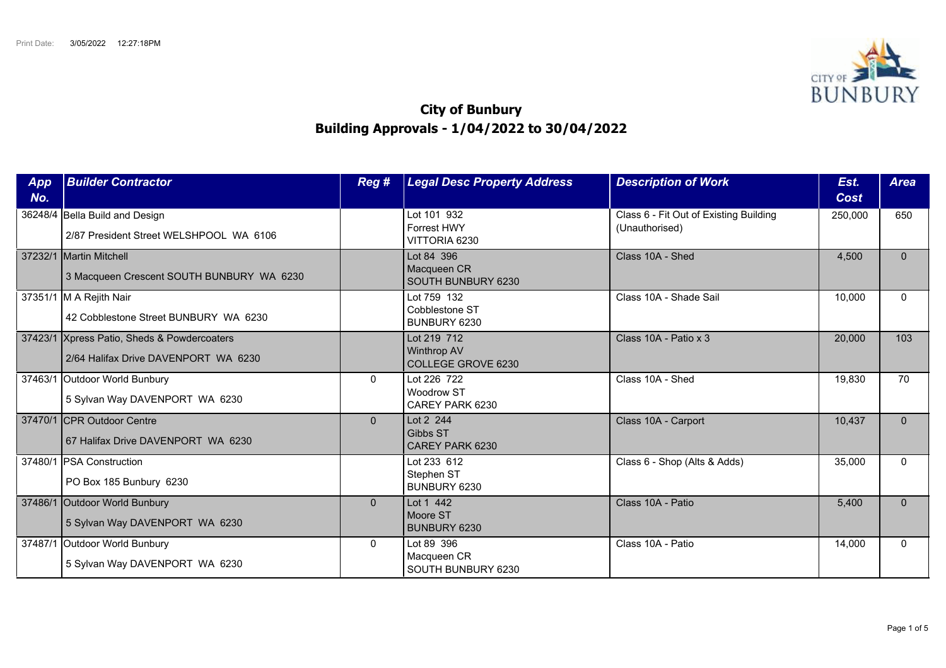

## **City of Bunbury Building Approvals - 1/04/2022 to 30/04/2022**

| App<br>No. | <b>Builder Contractor</b>                                                           | Reg #          | <b>Legal Desc Property Address</b>                      | <b>Description of Work</b>                               | Est.<br>Cost | <b>Area</b>  |
|------------|-------------------------------------------------------------------------------------|----------------|---------------------------------------------------------|----------------------------------------------------------|--------------|--------------|
|            | 36248/4 Bella Build and Design<br>2/87 President Street WELSHPOOL WA 6106           |                | Lot 101 932<br>Forrest HWY<br>VITTORIA 6230             | Class 6 - Fit Out of Existing Building<br>(Unauthorised) | 250,000      | 650          |
|            | 37232/1 Martin Mitchell<br>3 Macqueen Crescent SOUTH BUNBURY WA 6230                |                | Lot 84 396<br>Macqueen CR<br>SOUTH BUNBURY 6230         | Class 10A - Shed                                         | 4,500        | $\Omega$     |
|            | 37351/1 M A Rejith Nair<br>42 Cobblestone Street BUNBURY WA 6230                    |                | Lot 759 132<br>Cobblestone ST<br>BUNBURY 6230           | Class 10A - Shade Sail                                   | 10,000       | $\Omega$     |
|            | 37423/1 Xpress Patio, Sheds & Powdercoaters<br>2/64 Halifax Drive DAVENPORT WA 6230 |                | Lot 219 712<br><b>Winthrop AV</b><br>COLLEGE GROVE 6230 | Class 10A - Patio x 3                                    | 20,000       | 103          |
|            | 37463/1 Outdoor World Bunbury<br>5 Sylvan Way DAVENPORT WA 6230                     | $\Omega$       | Lot 226 722<br>Woodrow ST<br>CAREY PARK 6230            | Class 10A - Shed                                         | 19,830       | 70           |
|            | 37470/1 CPR Outdoor Centre<br>67 Halifax Drive DAVENPORT WA 6230                    | $\overline{0}$ | Lot 2 244<br>Gibbs ST<br>CAREY PARK 6230                | Class 10A - Carport                                      | 10,437       | $\mathbf{0}$ |
|            | 37480/1   PSA Construction<br>PO Box 185 Bunbury 6230                               |                | Lot 233 612<br>Stephen ST<br>BUNBURY 6230               | Class 6 - Shop (Alts & Adds)                             | 35,000       | $\Omega$     |
|            | 37486/1 Outdoor World Bunbury<br>5 Sylvan Way DAVENPORT WA 6230                     | $\mathbf{0}$   | Lot 1 442<br>Moore ST<br><b>BUNBURY 6230</b>            | Class 10A - Patio                                        | 5,400        | $\Omega$     |
|            | 37487/1 Outdoor World Bunbury<br>5 Sylvan Way DAVENPORT WA 6230                     | $\Omega$       | Lot 89 396<br>Macqueen CR<br>SOUTH BUNBURY 6230         | Class 10A - Patio                                        | 14,000       | $\Omega$     |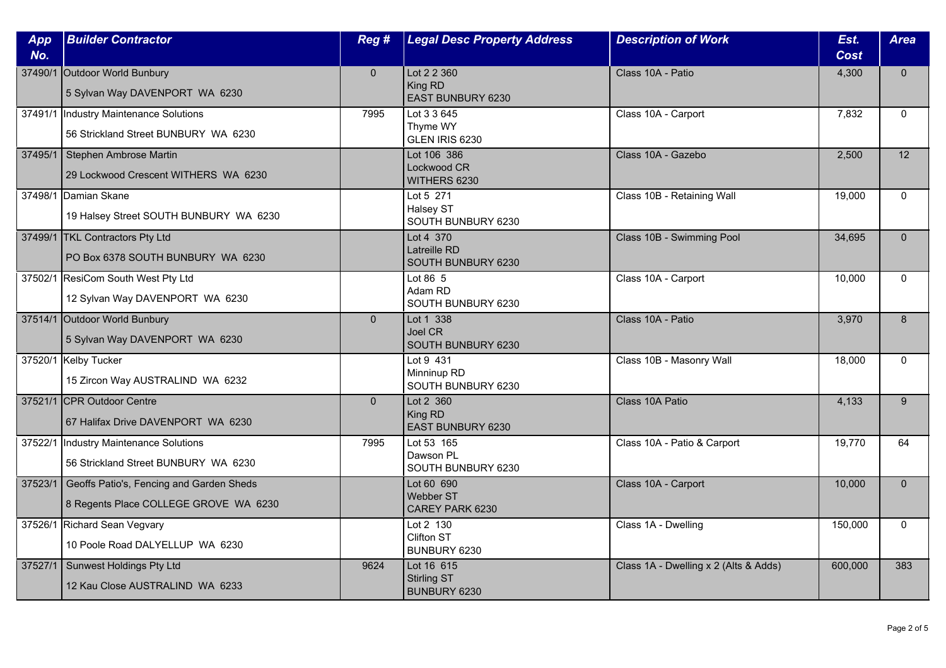| App<br>No. | <b>Builder Contractor</b>                                                         | Reg #          | <b>Legal Desc Property Address</b>               | <b>Description of Work</b>            | Est.<br><b>Cost</b> | <b>Area</b>     |
|------------|-----------------------------------------------------------------------------------|----------------|--------------------------------------------------|---------------------------------------|---------------------|-----------------|
| 37490/1    | Outdoor World Bunbury<br>5 Sylvan Way DAVENPORT WA 6230                           | $\overline{0}$ | Lot 2 2 360<br>King RD<br>EAST BUNBURY 6230      | Class 10A - Patio                     | 4,300               | $\mathbf{0}$    |
|            | 37491/1  Industry Maintenance Solutions<br>56 Strickland Street BUNBURY WA 6230   | 7995           | Lot 3 3 645<br>Thyme WY<br>GLEN IRIS 6230        | Class 10A - Carport                   | 7,832               | $\mathbf{0}$    |
| 37495/1    | Stephen Ambrose Martin<br>29 Lockwood Crescent WITHERS WA 6230                    |                | Lot 106 386<br>Lockwood CR<br>WITHERS 6230       | Class 10A - Gazebo                    | 2,500               | $\overline{12}$ |
|            | 37498/1 Damian Skane<br>19 Halsey Street SOUTH BUNBURY WA 6230                    |                | Lot 5 271<br>Halsey ST<br>SOUTH BUNBURY 6230     | Class 10B - Retaining Wall            | 19,000              | $\Omega$        |
|            | 37499/1 TKL Contractors Pty Ltd<br>PO Box 6378 SOUTH BUNBURY WA 6230              |                | Lot 4 370<br>Latreille RD<br>SOUTH BUNBURY 6230  | Class 10B - Swimming Pool             | 34,695              | $\Omega$        |
|            | 37502/1 ResiCom South West Pty Ltd<br>12 Sylvan Way DAVENPORT WA 6230             |                | Lot 86 5<br>Adam RD<br>SOUTH BUNBURY 6230        | Class 10A - Carport                   | 10,000              | $\Omega$        |
|            | 37514/1 Outdoor World Bunbury<br>5 Sylvan Way DAVENPORT WA 6230                   | $\overline{0}$ | Lot 1 338<br>Joel CR<br>SOUTH BUNBURY 6230       | Class 10A - Patio                     | 3,970               | 8               |
|            | 37520/1 Kelby Tucker<br>15 Zircon Way AUSTRALIND WA 6232                          |                | Lot 9 431<br>Minninup RD<br>SOUTH BUNBURY 6230   | Class 10B - Masonry Wall              | 18,000              | $\Omega$        |
|            | 37521/1 CPR Outdoor Centre<br>67 Halifax Drive DAVENPORT WA 6230                  | $\overline{0}$ | Lot 2 360<br>King RD<br>EAST BUNBURY 6230        | Class 10A Patio                       | 4,133               | 9               |
| 37522/1    | Industry Maintenance Solutions<br>56 Strickland Street BUNBURY WA 6230            | 7995           | Lot 53 165<br>Dawson PL<br>SOUTH BUNBURY 6230    | Class 10A - Patio & Carport           | 19,770              | 64              |
| 37523/1    | Geoffs Patio's, Fencing and Garden Sheds<br>8 Regents Place COLLEGE GROVE WA 6230 |                | Lot 60 690<br>Webber ST<br>CAREY PARK 6230       | Class 10A - Carport                   | 10,000              | $\mathbf{0}$    |
|            | 37526/1 Richard Sean Vegvary<br>10 Poole Road DALYELLUP WA 6230                   |                | Lot 2 130<br><b>Clifton ST</b><br>BUNBURY 6230   | Class 1A - Dwelling                   | 150,000             | $\Omega$        |
| 37527/1    | Sunwest Holdings Pty Ltd<br>12 Kau Close AUSTRALIND WA 6233                       | 9624           | Lot 16 615<br><b>Stirling ST</b><br>BUNBURY 6230 | Class 1A - Dwelling x 2 (Alts & Adds) | 600,000             | 383             |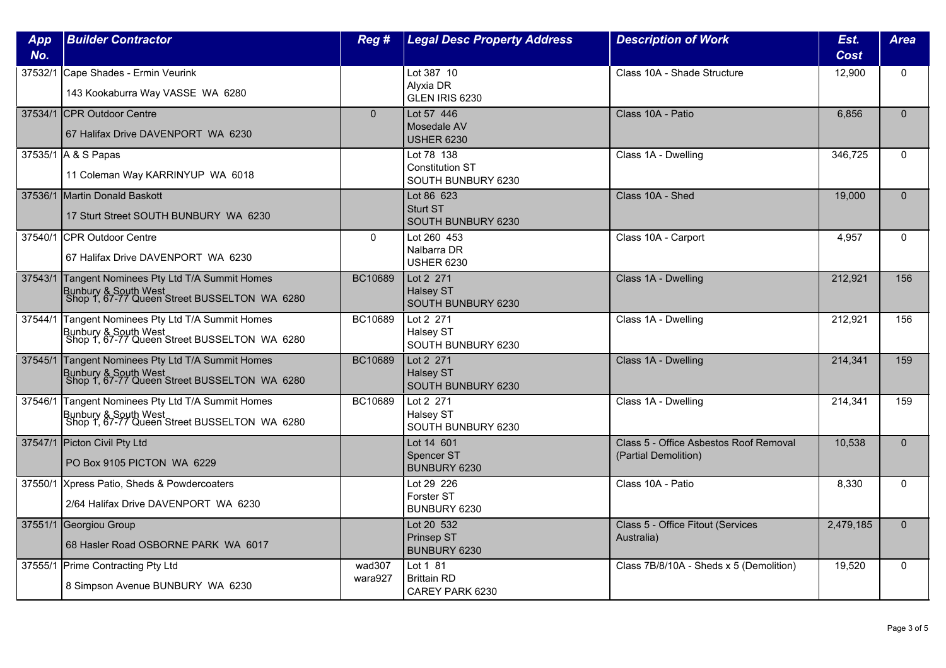| App     | <b>Builder Contractor</b>                                                                                                 | Reg #             | <b>Legal Desc Property Address</b>                         | <b>Description of Work</b>                                     | Est.      | <b>Area</b>  |
|---------|---------------------------------------------------------------------------------------------------------------------------|-------------------|------------------------------------------------------------|----------------------------------------------------------------|-----------|--------------|
| No.     |                                                                                                                           |                   |                                                            |                                                                | Cost      |              |
|         | 37532/1 Cape Shades - Ermin Veurink<br>143 Kookaburra Way VASSE WA 6280                                                   |                   | Lot 387 10<br>Alyxia DR<br>GLEN IRIS 6230                  | Class 10A - Shade Structure                                    | 12,900    | $\mathbf{0}$ |
|         | 37534/1 CPR Outdoor Centre<br>67 Halifax Drive DAVENPORT WA 6230                                                          | $\mathbf{0}$      | Lot 57 446<br>Mosedale AV<br><b>USHER 6230</b>             | Class 10A - Patio                                              | 6.856     | $\Omega$     |
|         | 37535/1 A & S Papas<br>11 Coleman Way KARRINYUP WA 6018                                                                   |                   | Lot 78 138<br><b>Constitution ST</b><br>SOUTH BUNBURY 6230 | Class 1A - Dwelling                                            | 346,725   | $\Omega$     |
|         | 37536/1 Martin Donald Baskott<br>17 Sturt Street SOUTH BUNBURY WA 6230                                                    |                   | Lot 86 623<br>Sturt ST<br>SOUTH BUNBURY 6230               | Class 10A - Shed                                               | 19,000    | $\Omega$     |
|         | 37540/1 CPR Outdoor Centre<br>67 Halifax Drive DAVENPORT WA 6230                                                          | $\mathbf{0}$      | Lot 260 453<br>Nalbarra DR<br><b>USHER 6230</b>            | Class 10A - Carport                                            | 4.957     | $\Omega$     |
| 37543/1 | Tangent Nominees Pty Ltd T/A Summit Homes<br>Bunbury & South West<br>Shop 1, 67-77 Queen Street BUSSELTON WA 6280         | BC10689           | Lot 2 271<br><b>Halsey ST</b><br>SOUTH BUNBURY 6230        | Class 1A - Dwelling                                            | 212,921   | 156          |
|         | 37544/1 Tangent Nominees Pty Ltd T/A Summit Homes<br>Bunbury & South West<br>Shop 1, 67-77 Queen Street BUSSELTON WA 6280 | BC10689           | Lot 2 271<br>Halsey ST<br>SOUTH BUNBURY 6230               | Class 1A - Dwelling                                            | 212,921   | 156          |
| 37545/1 | Tangent Nominees Pty Ltd T/A Summit Homes<br>Bunbury & South West<br>Shop 1, 67-77 Queen Street BUSSELTON WA 6280         | BC10689           | Lot 2 271<br><b>Halsey ST</b><br>SOUTH BUNBURY 6230        | Class 1A - Dwelling                                            | 214,341   | 159          |
|         | 37546/1 Tangent Nominees Pty Ltd T/A Summit Homes<br>Bunbury & South West<br>Shop 1, 67-77 Queen Street BUSSELTON WA 6280 | BC10689           | Lot 2 271<br>Halsey ST<br>SOUTH BUNBURY 6230               | Class 1A - Dwelling                                            | 214,341   | 159          |
|         | 37547/1 Picton Civil Pty Ltd<br>PO Box 9105 PICTON WA 6229                                                                |                   | Lot 14 601<br>Spencer ST<br>BUNBURY 6230                   | Class 5 - Office Asbestos Roof Removal<br>(Partial Demolition) | 10,538    | $\Omega$     |
|         | 37550/1 Xpress Patio, Sheds & Powdercoaters<br>2/64 Halifax Drive DAVENPORT WA 6230                                       |                   | Lot 29 226<br>Forster ST<br>BUNBURY 6230                   | Class 10A - Patio                                              | 8,330     | $\mathbf{0}$ |
|         | 37551/1 Georgiou Group<br>68 Hasler Road OSBORNE PARK WA 6017                                                             |                   | Lot 20 532<br>Prinsep ST<br>BUNBURY 6230                   | Class 5 - Office Fitout (Services<br>Australia)                | 2,479,185 | $\Omega$     |
|         | 37555/1 Prime Contracting Pty Ltd<br>8 Simpson Avenue BUNBURY WA 6230                                                     | wad307<br>wara927 | Lot 1 81<br><b>Brittain RD</b><br>CAREY PARK 6230          | Class 7B/8/10A - Sheds x 5 (Demolition)                        | 19,520    | $\mathbf{0}$ |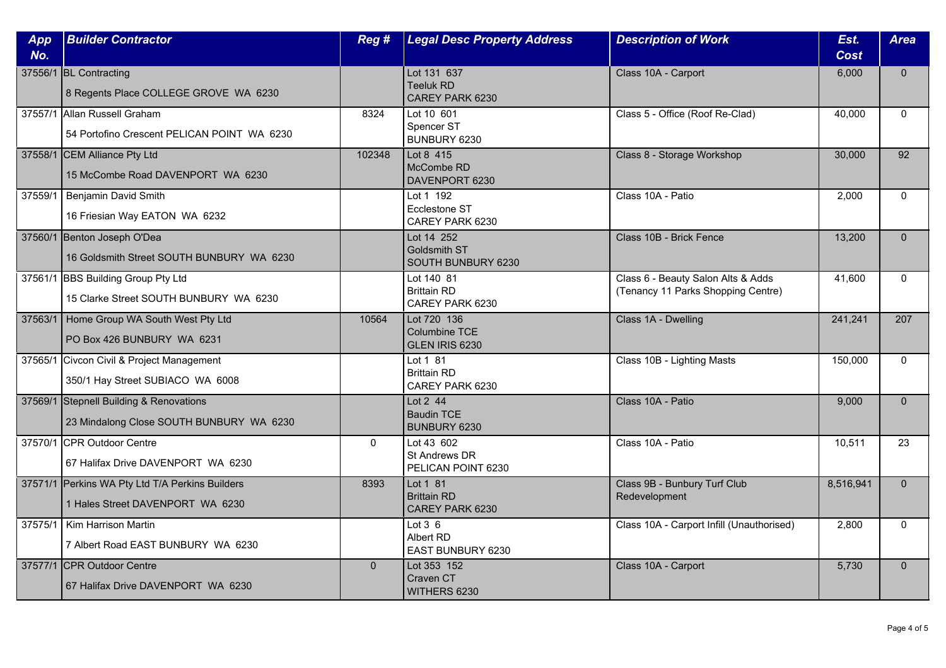| App | <b>Builder Contractor</b>                                                           | Reg#         | <b>Legal Desc Property Address</b>                       | <b>Description of Work</b>                                               | Est.        | <b>Area</b>  |
|-----|-------------------------------------------------------------------------------------|--------------|----------------------------------------------------------|--------------------------------------------------------------------------|-------------|--------------|
| No. |                                                                                     |              |                                                          |                                                                          | <b>Cost</b> |              |
|     | 37556/1 BL Contracting<br>8 Regents Place COLLEGE GROVE WA 6230                     |              | Lot 131 637<br><b>Teeluk RD</b><br>CAREY PARK 6230       | Class 10A - Carport                                                      | 6,000       | $\mathbf{0}$ |
|     | 37557/1 Allan Russell Graham<br>54 Portofino Crescent PELICAN POINT WA 6230         | 8324         | Lot 10 601<br>Spencer ST<br>BUNBURY 6230                 | Class 5 - Office (Roof Re-Clad)                                          | 40.000      | $\Omega$     |
|     | 37558/1 CEM Alliance Pty Ltd<br>15 McCombe Road DAVENPORT WA 6230                   | 102348       | Lot 8 415<br>McCombe RD<br>DAVENPORT 6230                | Class 8 - Storage Workshop                                               | 30,000      | 92           |
|     | 37559/1   Benjamin David Smith<br>16 Friesian Way EATON WA 6232                     |              | Lot 1 192<br>Ecclestone ST<br>CAREY PARK 6230            | Class 10A - Patio                                                        | 2,000       | $\mathbf{0}$ |
|     | 37560/1 Benton Joseph O'Dea<br>16 Goldsmith Street SOUTH BUNBURY WA 6230            |              | Lot 14 252<br>Goldsmith ST<br>SOUTH BUNBURY 6230         | Class 10B - Brick Fence                                                  | 13,200      | $\Omega$     |
|     | 37561/1 BBS Building Group Pty Ltd<br>15 Clarke Street SOUTH BUNBURY WA 6230        |              | Lot 140 81<br><b>Brittain RD</b><br>CAREY PARK 6230      | Class 6 - Beauty Salon Alts & Adds<br>(Tenancy 11 Parks Shopping Centre) | 41,600      | $\mathbf{0}$ |
|     | 37563/1 Home Group WA South West Pty Ltd<br>PO Box 426 BUNBURY WA 6231              | 10564        | Lot 720 136<br><b>Columbine TCE</b><br>GLEN IRIS 6230    | Class 1A - Dwelling                                                      | 241,241     | 207          |
|     | 37565/1 Civcon Civil & Project Management<br>350/1 Hay Street SUBIACO WA 6008       |              | Lot 1 81<br><b>Brittain RD</b><br>CAREY PARK 6230        | Class 10B - Lighting Masts                                               | 150,000     | $\mathbf{0}$ |
|     | 37569/1 Stepnell Building & Renovations<br>23 Mindalong Close SOUTH BUNBURY WA 6230 |              | Lot 2 44<br><b>Baudin TCE</b><br>BUNBURY 6230            | Class 10A - Patio                                                        | 9,000       | $\Omega$     |
|     | 37570/1 CPR Outdoor Centre<br>67 Halifax Drive DAVENPORT WA 6230                    | $\mathbf{0}$ | Lot 43 602<br><b>St Andrews DR</b><br>PELICAN POINT 6230 | Class 10A - Patio                                                        | 10,511      | 23           |
|     | 37571/1 Perkins WA Pty Ltd T/A Perkins Builders<br>1 Hales Street DAVENPORT WA 6230 | 8393         | Lot 1 81<br><b>Brittain RD</b><br>CAREY PARK 6230        | Class 9B - Bunbury Turf Club<br>Redevelopment                            | 8,516,941   | $\mathbf{0}$ |
|     | 37575/1   Kim Harrison Martin<br>7 Albert Road EAST BUNBURY WA 6230                 |              | Lot $3\overline{6}$<br>Albert RD<br>EAST BUNBURY 6230    | Class 10A - Carport Infill (Unauthorised)                                | 2,800       | $\Omega$     |
|     | 37577/1 CPR Outdoor Centre<br>67 Halifax Drive DAVENPORT WA 6230                    | $\mathbf{0}$ | Lot 353 152<br>Craven CT<br>WITHERS 6230                 | Class 10A - Carport                                                      | 5,730       | $\mathbf{0}$ |